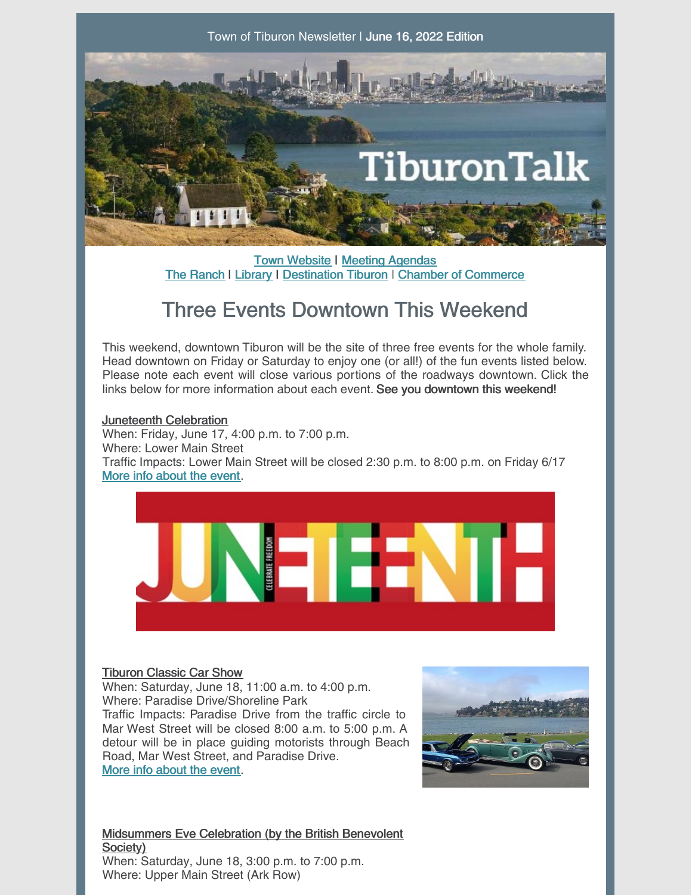

**Town [Website](http://www.townoftiburon.org) | Meeting [Agendas](http://www.townoftiburon.org/266/Agendas-Minutes)** The [Ranch](http://www.theranchtoday.org) | [Library](https://www.beltiblibrary.org/) | [Destination](https://www.destinationtiburon.org/) Tiburon | Chamber of [Commerce](https://www.tiburonchamber.org/)

## Three Events Downtown This Weekend

This weekend, downtown Tiburon will be the site of three free events for the whole family. Head downtown on Friday or Saturday to enjoy one (or all!) of the fun events listed below. Please note each event will close various portions of the roadways downtown. Click the links below for more information about each event. See you downtown this weekend!

## Juneteenth Celebration

When: Friday, June 17, 4:00 p.m. to 7:00 p.m. Where: Lower Main Street Traffic Impacts: Lower Main Street will be closed 2:30 p.m. to 8:00 p.m. on Friday 6/17 More info [about](https://www.tiburonchamber.org/Diversity-Equity-Inclusion) the event.



## Tiburon Classic Car Show

When: Saturday, June 18, 11:00 a.m. to 4:00 p.m. Where: Paradise Drive/Shoreline Park Traffic Impacts: Paradise Drive from the traffic circle to Mar West Street will be closed 8:00 a.m. to 5:00 p.m. A detour will be in place guiding motorists through Beach Road, Mar West Street, and Paradise Drive. More info [about](http://tiburonclassiccarshow.com/) the event.



Midsummers Eve Celebration (by the British Benevolent Society) When: Saturday, June 18, 3:00 p.m. to 7:00 p.m. Where: Upper Main Street (Ark Row)